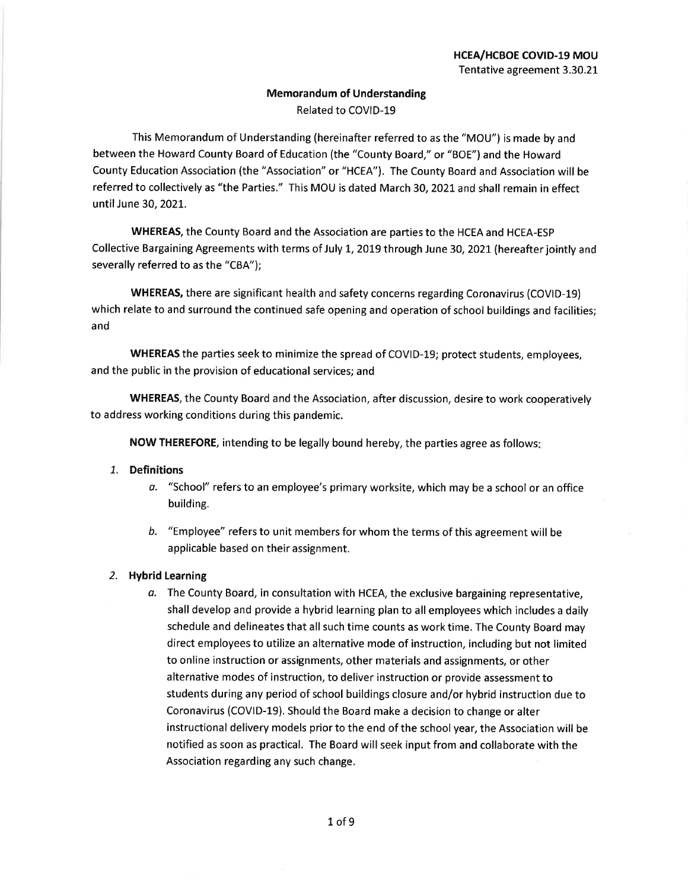## **Memorandum of Understanding** Related to COVID-19

This Memorandum of Understanding (hereinafter referred to as the "MOU") is made by and between the Howard County Board of Education (the "County Board," or "BOE") and the Howard County Education Association (the "Association" or "HCEA"). The County Board and Association will be referred to collectively as "the Parties." This MOU is dated March 30, 2021 and shall remain in effect until June 30, 2021.

WHEREAS, the County Board and the Association are parties to the HCEA and HCEA-ESP Collective Bargaining Agreements with terms of July 1, 2019 through June 30, 2021 (hereafter jointly and severally referred to as the "CBA");

WHEREAS, there are significant health and safety concerns regarding Coronavirus (COVID-19) which relate to and surround the continued safe opening and operation of school buildings and facilities; and

WHEREAS the parties seek to minimize the spread of COVID-19; protect students, employees, and the public in the provision of educational services; and

WHEREAS, the County Board and the Association, after discussion, desire to work cooperatively to address working conditions during this pandemic.

NOW THEREFORE, intending to be legally bound hereby, the parties agree as follows:

## 1. Definitions

- "School" refers to an employee's primary worksite, which may be a school or an office а. building.
- b. "Employee" refers to unit members for whom the terms of this agreement will be applicable based on their assignment.

## 2. Hybrid Learning

a. The County Board, in consultation with HCEA, the exclusive bargaining representative, shall develop and provide a hybrid learning plan to all employees which includes a daily schedule and delineates that all such time counts as work time. The County Board may direct employees to utilize an alternative mode of instruction, including but not limited to online instruction or assignments, other materials and assignments, or other alternative modes of instruction, to deliver instruction or provide assessment to students during any period of school buildings closure and/or hybrid instruction due to Coronavirus (COVID-19). Should the Board make a decision to change or alter instructional delivery models prior to the end of the school year, the Association will be notified as soon as practical. The Board will seek input from and collaborate with the Association regarding any such change.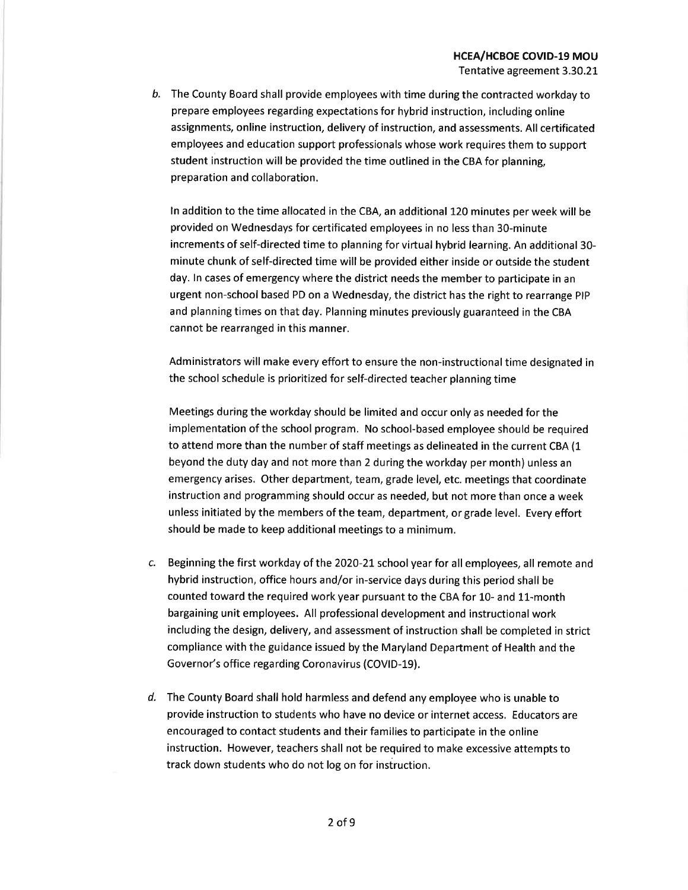b. The County Board shall provide employees with time during the contracted workday to prepare employees regarding expectations for hybrid instruction, including online assignments, online instruction, delivery of instruction, and assessments. All certificated employees and education support professionals whose work requires them to support student instruction will be provided the time outlined in the CBA for planning, preparation and collaboration.

In addition to the time allocated in the CBA, an additional 120 minutes per week will be provided on Wednesdays for certificated employees in no less than 30-minute increments of self-directed time to planning for virtual hybrid learning. An additional 30minute chunk of self-directed time will be provided either inside or outside the student day. In cases of emergency where the district needs the member to participate in an urgent non-school based PD on a Wednesday, the district has the right to rearrange PIP and planning times on that day. Planning minutes previously guaranteed in the CBA cannot be rearranged in this manner.

Administrators will make every effort to ensure the non-instructional time designated in the school schedule is prioritized for self-directed teacher planning time

Meetings during the workday should be limited and occur only as needed for the implementation of the school program. No school-based employee should be required to attend more than the number of staff meetings as delineated in the current CBA (1 beyond the duty day and not more than 2 during the workday per month) unless an emergency arises. Other department, team, grade level, etc. meetings that coordinate instruction and programming should occur as needed, but not more than once a week unless initiated by the members of the team, department, or grade level. Every effort should be made to keep additional meetings to a minimum.

- c. Beginning the first workday of the 2020-21 school year for all employees, all remote and hybrid instruction, office hours and/or in-service days during this period shall be counted toward the required work year pursuant to the CBA for 10- and 11-month bargaining unit employees. All professional development and instructional work including the design, delivery, and assessment of instruction shall be completed in strict compliance with the guidance issued by the Maryland Department of Health and the Governor's office regarding Coronavirus (COVID-19).
- d. The County Board shall hold harmless and defend any employee who is unable to provide instruction to students who have no device or internet access. Educators are encouraged to contact students and their families to participate in the online instruction. However, teachers shall not be required to make excessive attempts to track down students who do not log on for instruction.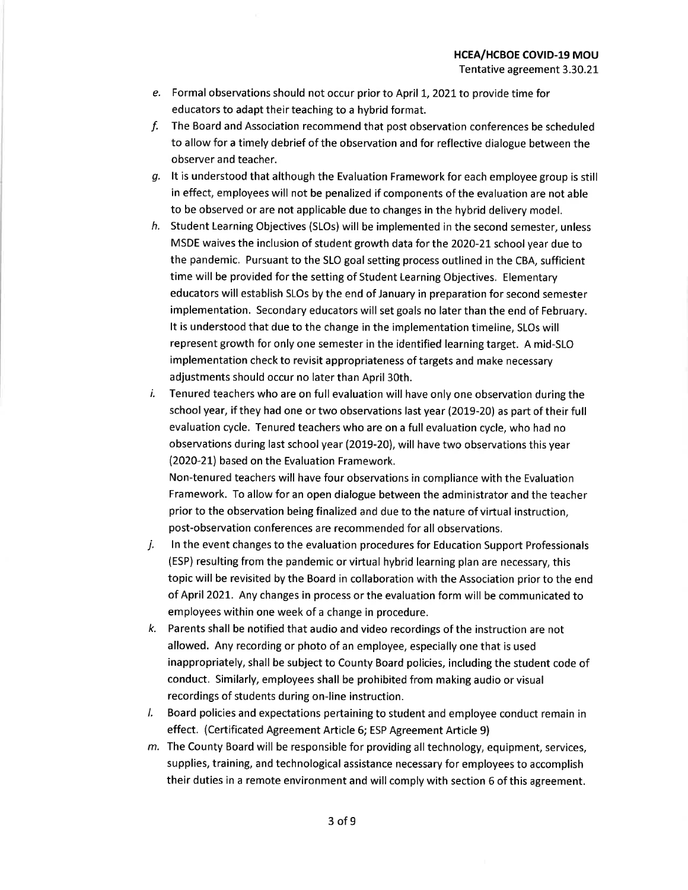- e. Formal observations should not occur prior to April 1, 2021 to provide time for educators to adapt their teaching to a hybrid format.
- f. The Board and Association recommend that post observation conferences be scheduled to allow for a timely debrief of the observation and for reflective dialogue between the observer and teacher.
- $g$ . It is understood that although the Evaluation Framework for each employee group is still in effect, employees will not be penalized if components of the evaluation are not able to be observed or are not applicable due to changes in the hybrid delivery model.
- h. Student Learning Objectives (SLOs) will be implemented in the second semester, unless MSDE waives the inclusion of student growth data for the 2020-21 school year due to the pandemic. Pursuant to the SLO goal setting process outlined in the CBA, sufficient time will be provided for the setting of Student Learning Objectives. Elementary educators will establish SLOs by the end of January in preparation for second semester implementation. Secondary educators will set goals no later than the end of February. It is understood that due to the change in the implementation timeline, SLOs will represent growth for only one semester in the identified learning target. A mid-SLO implementation check to revisit appropriateness of targets and make necessary adjustments should occur no later than April 30th.
- i. Tenured teachers who are on full evaluation will have only one observation during the school year, if they had one or two observations last year (2019-20) as part of their full evaluation cycle. Tenured teachers who are on a full evaluation cycle, who had no observations during last school year (2019-20), will have two observations this year (2020-21) based on the Evaluation Framework. Non-tenured teachers will have four observations in compliance with the Evaluation

Framework. To allow for an open dialogue between the administrator and the teacher prior to the observation being finalized and due to the nature of virtual instruction, post-observation conferences are recommended for all observations.

- j. In the event changes to the evaluation procedures for Education Support Professionals (ESP) resulting from the pandemic or virtual hybrid learning plan are necessary, this topic will be revisited by the Board in collaboration with the Association prior to the end of April 2021. Any changes in process or the evaluation form will be communicated to employees within one week of a change in procedure.
- Parents shall be notified that audio and video recordings of the instruction are not k. allowed. Any recording or photo of an employee, especially one that is used inappropriately, shall be subject to County Board policies, including the student code of conduct. Similarly, employees shall be prohibited from making audio or visual recordings of students during on-line instruction.
- /. Board policies and expectations pertaining to student and employee conduct remain in effect. (Certificated Agreement Article 6; ESP Agreement Article 9)
- m. The County Board will be responsible for providing all technology, equipment, services, supplies, training, and technological assistance necessary for employees to accomplish their duties in a remote environment and will comply with section 6 of this agreement.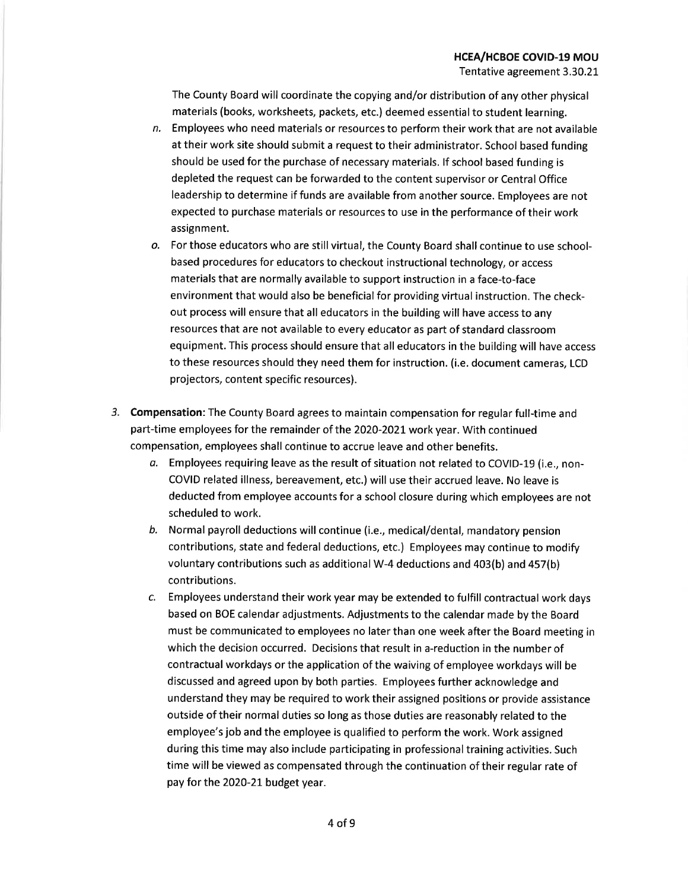The County Board will coordinate the copying and/or distribution of any other physical materials (books, worksheets, packets, etc.) deemed essential to student learning.

- n. Employees who need materials or resources to perform their work that are not available at their work site should submit a request to their administrator. School based funding should be used for the purchase of necessary materials. If school based funding is depleted the request can be forwarded to the content supervisor or Central Office leadership to determine if funds are available from another source. Employees are not expected to purchase materials or resources to use in the performance of their work assignment.
- o. For those educators who are still virtual, the County Board shall continue to use schoolbased procedures for educators to checkout instructional technology, or access materials that are normally available to support instruction in a face-to-face environment that would also be beneficial for providing virtual instruction. The checkout process will ensure that all educators in the building will have access to any resources that are not available to every educator as part of standard classroom equipment. This process should ensure that all educators in the building will have access to these resources should they need them for instruction. (i.e. document cameras, LCD projectors, content specific resources).
- 3. Compensation: The County Board agrees to maintain compensation for regular full-time and part-time employees for the remainder of the 2020-2021 work year. With continued compensation, employees shall continue to accrue leave and other benefits.
	- a. Employees requiring leave as the result of situation not related to COVID-19 (i.e., non-COVID related illness, bereavement, etc.) will use their accrued leave. No leave is deducted from employee accounts for a school closure during which employees are not scheduled to work.
	- b. Normal payroll deductions will continue (i.e., medical/dental, mandatory pension contributions, state and federal deductions, etc.) Employees may continue to modify voluntary contributions such as additional W-4 deductions and 403(b) and 457(b) contributions.
	- c. Employees understand their work year may be extended to fulfill contractual work days based on BOE calendar adjustments. Adjustments to the calendar made by the Board must be communicated to employees no later than one week after the Board meeting in which the decision occurred. Decisions that result in a-reduction in the number of contractual workdays or the application of the waiving of employee workdays will be discussed and agreed upon by both parties. Employees further acknowledge and understand they may be required to work their assigned positions or provide assistance outside of their normal duties so long as those duties are reasonably related to the employee's job and the employee is qualified to perform the work. Work assigned during this time may also include participating in professional training activities. Such time will be viewed as compensated through the continuation of their regular rate of pay for the 2020-21 budget year.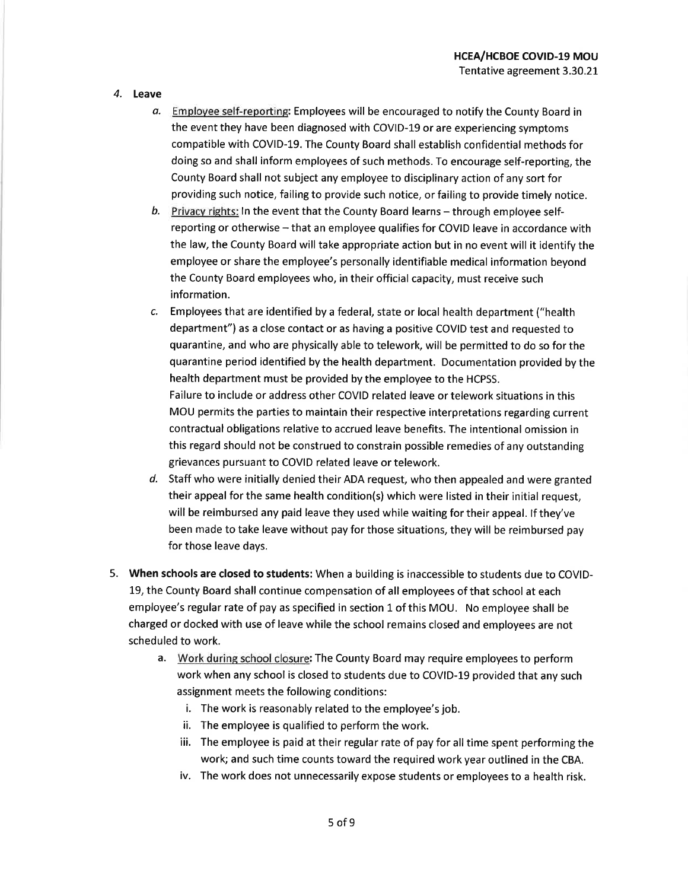- 4. Leave
	- a. Employee self-reporting: Employees will be encouraged to notify the County Board in the event they have been diagnosed with COVID-19 or are experiencing symptoms compatible with COVID-19. The County Board shall establish confidential methods for doing so and shall inform employees of such methods. To encourage self-reporting, the County Board shall not subject any employee to disciplinary action of any sort for providing such notice, failing to provide such notice, or failing to provide timely notice.
	- b. Privacy rights: In the event that the County Board learns through employee selfreporting or otherwise - that an employee qualifies for COVID leave in accordance with the law, the County Board will take appropriate action but in no event will it identify the employee or share the employee's personally identifiable medical information beyond the County Board employees who, in their official capacity, must receive such information.
	- Employees that are identified by a federal, state or local health department ("health  $\mathcal{C}$ . department") as a close contact or as having a positive COVID test and requested to quarantine, and who are physically able to telework, will be permitted to do so for the quarantine period identified by the health department. Documentation provided by the health department must be provided by the employee to the HCPSS. Failure to include or address other COVID related leave or telework situations in this MOU permits the parties to maintain their respective interpretations regarding current contractual obligations relative to accrued leave benefits. The intentional omission in this regard should not be construed to constrain possible remedies of any outstanding grievances pursuant to COVID related leave or telework.
	- d. Staff who were initially denied their ADA request, who then appealed and were granted their appeal for the same health condition(s) which were listed in their initial request, will be reimbursed any paid leave they used while waiting for their appeal. If they've been made to take leave without pay for those situations, they will be reimbursed pay for those leave days.
- 5. When schools are closed to students: When a building is inaccessible to students due to COVID-19, the County Board shall continue compensation of all employees of that school at each employee's regular rate of pay as specified in section 1 of this MOU. No employee shall be charged or docked with use of leave while the school remains closed and employees are not scheduled to work.
	- a. Work during school closure: The County Board may require employees to perform work when any school is closed to students due to COVID-19 provided that any such assignment meets the following conditions:
		- i. The work is reasonably related to the employee's job.
		- ii. The employee is qualified to perform the work.
		- iii. The employee is paid at their regular rate of pay for all time spent performing the work; and such time counts toward the required work year outlined in the CBA.
		- iv. The work does not unnecessarily expose students or employees to a health risk.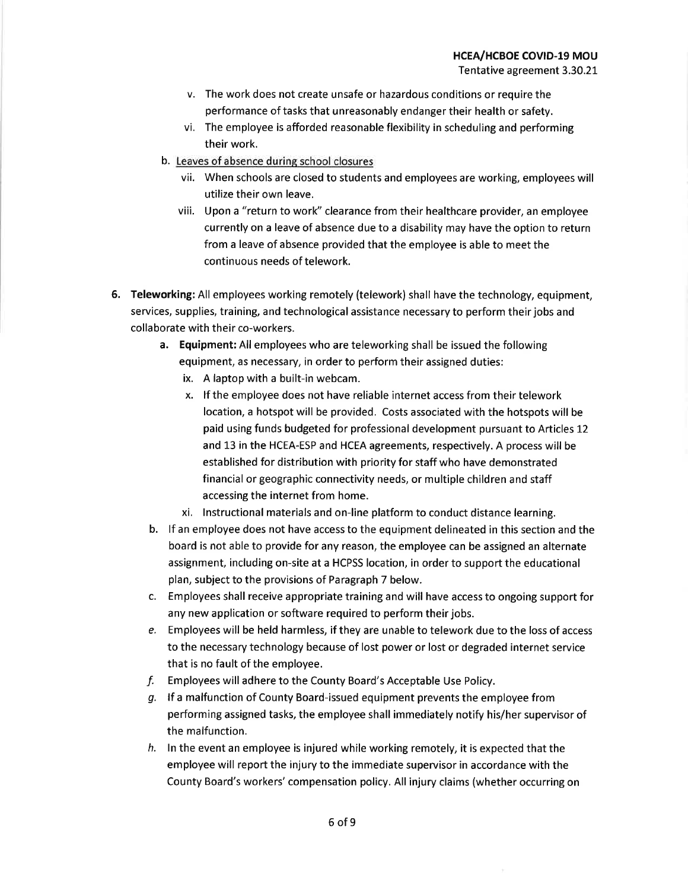- v. The work does not create unsafe or hazardous conditions or require the performance of tasks that unreasonably endanger their health or safety.
- vi. The employee is afforded reasonable flexibility in scheduling and performing their work.
- b. Leaves of absence during school closures
	- vii. When schools are closed to students and employees are working, employees will utilize their own leave.
	- viii. Upon a "return to work" clearance from their healthcare provider, an employee currently on a leave of absence due to a disability may have the option to return from a leave of absence provided that the employee is able to meet the continuous needs of telework.
- 6. Teleworking: All employees working remotely (telework) shall have the technology, equipment, services, supplies, training, and technological assistance necessary to perform their jobs and collaborate with their co-workers.
	- a. Equipment: All employees who are teleworking shall be issued the following equipment, as necessary, in order to perform their assigned duties:
		- ix. A laptop with a built-in webcam.
		- x. If the employee does not have reliable internet access from their telework location, a hotspot will be provided. Costs associated with the hotspots will be paid using funds budgeted for professional development pursuant to Articles 12 and 13 in the HCEA-ESP and HCEA agreements, respectively. A process will be established for distribution with priority for staff who have demonstrated financial or geographic connectivity needs, or multiple children and staff accessing the internet from home.
		- xi. Instructional materials and on-line platform to conduct distance learning.
	- b. If an employee does not have access to the equipment delineated in this section and the board is not able to provide for any reason, the employee can be assigned an alternate assignment, including on-site at a HCPSS location, in order to support the educational plan, subject to the provisions of Paragraph 7 below.
	- c. Employees shall receive appropriate training and will have access to ongoing support for any new application or software required to perform their jobs.
	- e. Employees will be held harmless, if they are unable to telework due to the loss of access to the necessary technology because of lost power or lost or degraded internet service that is no fault of the employee.
	- f. Employees will adhere to the County Board's Acceptable Use Policy.
	- g. If a malfunction of County Board-issued equipment prevents the employee from performing assigned tasks, the employee shall immediately notify his/her supervisor of the malfunction.
	- $h$ . In the event an employee is injured while working remotely, it is expected that the employee will report the injury to the immediate supervisor in accordance with the County Board's workers' compensation policy. All injury claims (whether occurring on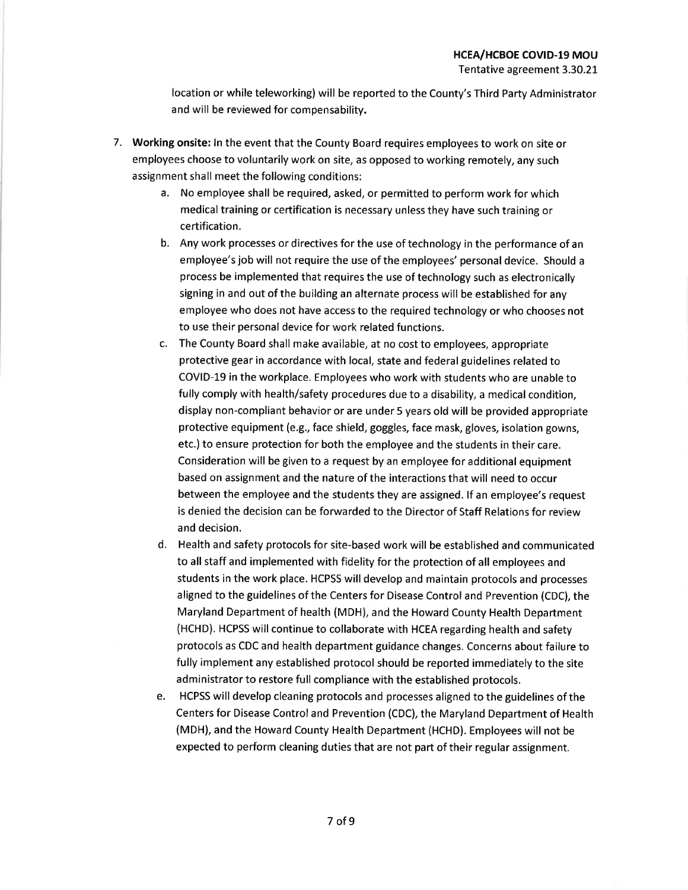Tentative agreement 3.30.21

location or while teleworking) will be reported to the County's Third Party Administrator and will be reviewed for compensability.

- 7. Working onsite: In the event that the County Board requires employees to work on site or employees choose to voluntarily work on site, as opposed to working remotely, any such assignment shall meet the following conditions:
	- a. No employee shall be required, asked, or permitted to perform work for which medical training or certification is necessary unless they have such training or certification.
	- b. Any work processes or directives for the use of technology in the performance of an employee's job will not require the use of the employees' personal device. Should a process be implemented that requires the use of technology such as electronically signing in and out of the building an alternate process will be established for any employee who does not have access to the required technology or who chooses not to use their personal device for work related functions.
	- c. The County Board shall make available, at no cost to employees, appropriate protective gear in accordance with local, state and federal guidelines related to COVID-19 in the workplace. Employees who work with students who are unable to fully comply with health/safety procedures due to a disability, a medical condition, display non-compliant behavior or are under 5 years old will be provided appropriate protective equipment (e.g., face shield, goggles, face mask, gloves, isolation gowns, etc.) to ensure protection for both the employee and the students in their care. Consideration will be given to a request by an employee for additional equipment based on assignment and the nature of the interactions that will need to occur between the employee and the students they are assigned. If an employee's request is denied the decision can be forwarded to the Director of Staff Relations for review and decision.
	- d. Health and safety protocols for site-based work will be established and communicated to all staff and implemented with fidelity for the protection of all employees and students in the work place. HCPSS will develop and maintain protocols and processes aligned to the guidelines of the Centers for Disease Control and Prevention (CDC), the Maryland Department of health (MDH), and the Howard County Health Department (HCHD). HCPSS will continue to collaborate with HCEA regarding health and safety protocols as CDC and health department guidance changes. Concerns about failure to fully implement any established protocol should be reported immediately to the site administrator to restore full compliance with the established protocols.
	- e. HCPSS will develop cleaning protocols and processes aligned to the guidelines of the Centers for Disease Control and Prevention (CDC), the Maryland Department of Health (MDH), and the Howard County Health Department (HCHD). Employees will not be expected to perform cleaning duties that are not part of their regular assignment.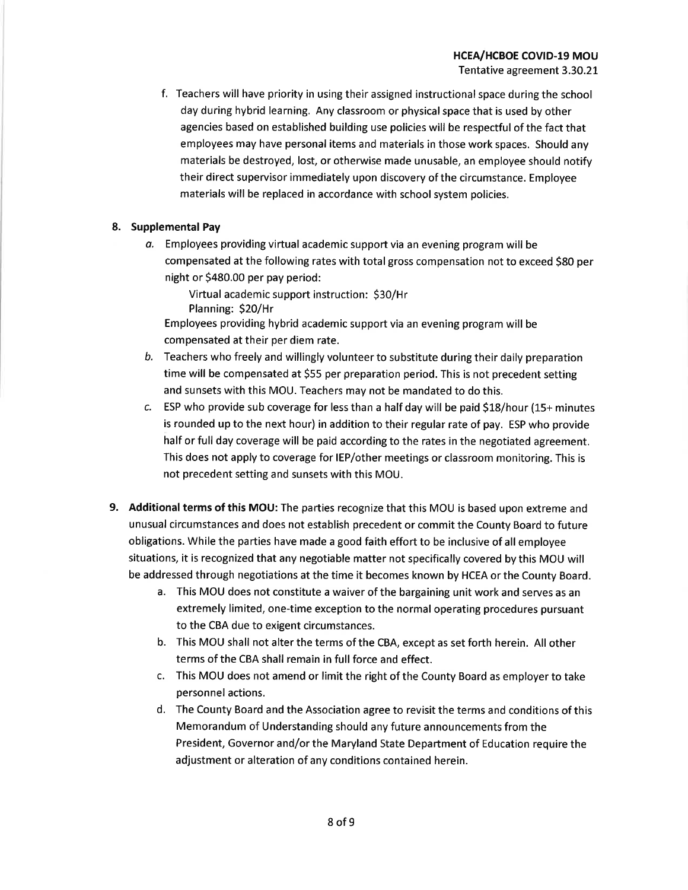f. Teachers will have priority in using their assigned instructional space during the school day during hybrid learning. Any classroom or physical space that is used by other agencies based on established building use policies will be respectful of the fact that employees may have personal items and materials in those work spaces. Should any materials be destroyed, lost, or otherwise made unusable, an employee should notify their direct supervisor immediately upon discovery of the circumstance. Employee materials will be replaced in accordance with school system policies.

## 8. Supplemental Pay

a. Employees providing virtual academic support via an evening program will be compensated at the following rates with total gross compensation not to exceed \$80 per night or \$480.00 per pay period:

Virtual academic support instruction: \$30/Hr Planning: \$20/Hr

Employees providing hybrid academic support via an evening program will be compensated at their per diem rate.

- b. Teachers who freely and willingly volunteer to substitute during their daily preparation time will be compensated at \$55 per preparation period. This is not precedent setting and sunsets with this MOU. Teachers may not be mandated to do this.
- c. ESP who provide sub coverage for less than a half day will be paid \$18/hour (15+ minutes is rounded up to the next hour) in addition to their regular rate of pay. ESP who provide half or full day coverage will be paid according to the rates in the negotiated agreement. This does not apply to coverage for IEP/other meetings or classroom monitoring. This is not precedent setting and sunsets with this MOU.
- 9. Additional terms of this MOU: The parties recognize that this MOU is based upon extreme and unusual circumstances and does not establish precedent or commit the County Board to future obligations. While the parties have made a good faith effort to be inclusive of all employee situations, it is recognized that any negotiable matter not specifically covered by this MOU will be addressed through negotiations at the time it becomes known by HCEA or the County Board.
	- a. This MOU does not constitute a waiver of the bargaining unit work and serves as an extremely limited, one-time exception to the normal operating procedures pursuant to the CBA due to exigent circumstances.
	- b. This MOU shall not alter the terms of the CBA, except as set forth herein. All other terms of the CBA shall remain in full force and effect.
	- c. This MOU does not amend or limit the right of the County Board as employer to take personnel actions.
	- d. The County Board and the Association agree to revisit the terms and conditions of this Memorandum of Understanding should any future announcements from the President, Governor and/or the Maryland State Department of Education require the adjustment or alteration of any conditions contained herein.